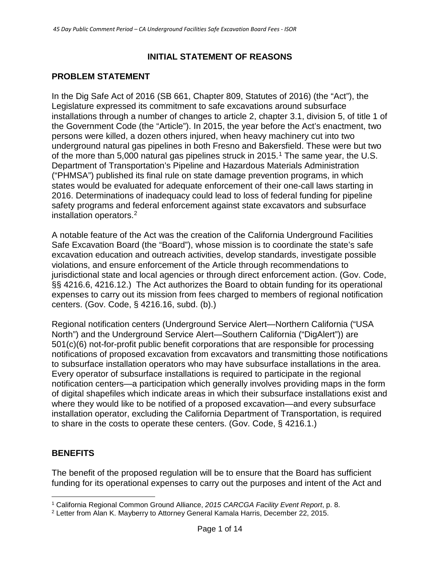## **INITIAL STATEMENT OF REASONS**

# **PROBLEM STATEMENT**

In the Dig Safe Act of 2016 (SB 661, Chapter 809, Statutes of 2016) (the "Act"), the Legislature expressed its commitment to safe excavations around subsurface installations through a number of changes to article 2, chapter 3.1, division 5, of title 1 of the Government Code (the "Article"). In 2015, the year before the Act's enactment, two persons were killed, a dozen others injured, when heavy machinery cut into two underground natural gas pipelines in both Fresno and Bakersfield. These were but two of the more than 5,000 natural gas pipelines struck in 2015. [1](#page-0-0) The same year, the U.S. Department of Transportation's Pipeline and Hazardous Materials Administration ("PHMSA") published its final rule on state damage prevention programs, in which states would be evaluated for adequate enforcement of their one-call laws starting in 2016. Determinations of inadequacy could lead to loss of federal funding for pipeline safety programs and federal enforcement against state excavators and subsurface installation operators.[2](#page-0-1)

A notable feature of the Act was the creation of the California Underground Facilities Safe Excavation Board (the "Board"), whose mission is to coordinate the state's safe excavation education and outreach activities, develop standards, investigate possible violations, and ensure enforcement of the Article through recommendations to jurisdictional state and local agencies or through direct enforcement action. (Gov. Code, §§ 4216.6, 4216.12.) The Act authorizes the Board to obtain funding for its operational expenses to carry out its mission from fees charged to members of regional notification centers. (Gov. Code, § 4216.16, subd. (b).)

Regional notification centers (Underground Service Alert—Northern California ("USA North") and the Underground Service Alert—Southern California ("DigAlert")) are 501(c)(6) not-for-profit public benefit corporations that are responsible for processing notifications of proposed excavation from excavators and transmitting those notifications to subsurface installation operators who may have subsurface installations in the area. Every operator of subsurface installations is required to participate in the regional notification centers—a participation which generally involves providing maps in the form of digital shapefiles which indicate areas in which their subsurface installations exist and where they would like to be notified of a proposed excavation—and every subsurface installation operator, excluding the California Department of Transportation, is required to share in the costs to operate these centers. (Gov. Code, § 4216.1.)

### **BENEFITS**

The benefit of the proposed regulation will be to ensure that the Board has sufficient funding for its operational expenses to carry out the purposes and intent of the Act and

<span id="page-0-0"></span> <sup>1</sup> California Regional Common Ground Alliance, *2015 CARCGA Facility Event Report*, p. 8.

<span id="page-0-1"></span><sup>2</sup> Letter from Alan K. Mayberry to Attorney General Kamala Harris, December 22, 2015.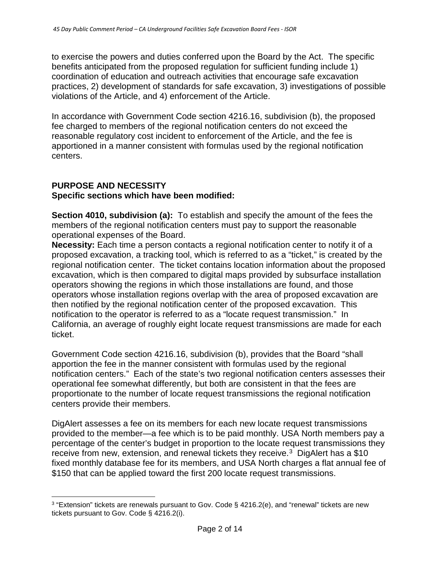to exercise the powers and duties conferred upon the Board by the Act. The specific benefits anticipated from the proposed regulation for sufficient funding include 1) coordination of education and outreach activities that encourage safe excavation practices, 2) development of standards for safe excavation, 3) investigations of possible violations of the Article, and 4) enforcement of the Article.

In accordance with Government Code section 4216.16, subdivision (b), the proposed fee charged to members of the regional notification centers do not exceed the reasonable regulatory cost incident to enforcement of the Article, and the fee is apportioned in a manner consistent with formulas used by the regional notification centers.

#### **PURPOSE AND NECESSITY Specific sections which have been modified:**

**Section 4010, subdivision (a):** To establish and specify the amount of the fees the members of the regional notification centers must pay to support the reasonable operational expenses of the Board.

**Necessity:** Each time a person contacts a regional notification center to notify it of a proposed excavation, a tracking tool, which is referred to as a "ticket," is created by the regional notification center. The ticket contains location information about the proposed excavation, which is then compared to digital maps provided by subsurface installation operators showing the regions in which those installations are found, and those operators whose installation regions overlap with the area of proposed excavation are then notified by the regional notification center of the proposed excavation. This notification to the operator is referred to as a "locate request transmission." In California, an average of roughly eight locate request transmissions are made for each ticket.

Government Code section 4216.16, subdivision (b), provides that the Board "shall apportion the fee in the manner consistent with formulas used by the regional notification centers." Each of the state's two regional notification centers assesses their operational fee somewhat differently, but both are consistent in that the fees are proportionate to the number of locate request transmissions the regional notification centers provide their members.

DigAlert assesses a fee on its members for each new locate request transmissions provided to the member—a fee which is to be paid monthly. USA North members pay a percentage of the center's budget in proportion to the locate request transmissions they receive from new, extension, and renewal tickets they receive.<sup>[3](#page-1-0)</sup> DigAlert has a \$10 fixed monthly database fee for its members, and USA North charges a flat annual fee of \$150 that can be applied toward the first 200 locate request transmissions.

<span id="page-1-0"></span> <sup>3</sup> "Extension" tickets are renewals pursuant to Gov. Code § 4216.2(e), and "renewal" tickets are new tickets pursuant to Gov. Code § 4216.2(i).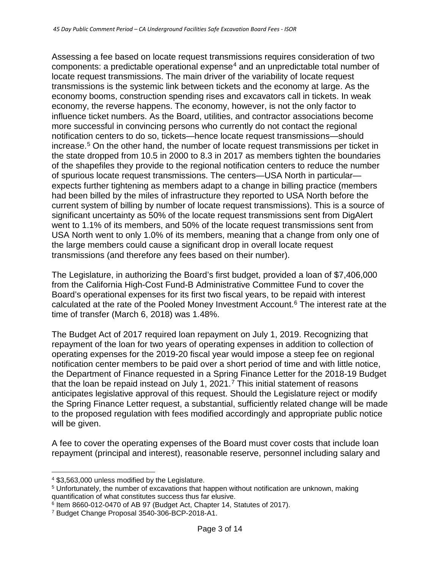Assessing a fee based on locate request transmissions requires consideration of two  $components: a predictable operational expense<sup>4</sup> and an unpredictable total number of$  $components: a predictable operational expense<sup>4</sup> and an unpredictable total number of$  $components: a predictable operational expense<sup>4</sup> and an unpredictable total number of$ locate request transmissions. The main driver of the variability of locate request transmissions is the systemic link between tickets and the economy at large. As the economy booms, construction spending rises and excavators call in tickets. In weak economy, the reverse happens. The economy, however, is not the only factor to influence ticket numbers. As the Board, utilities, and contractor associations become more successful in convincing persons who currently do not contact the regional notification centers to do so, tickets—hence locate request transmissions—should increase.<sup>[5](#page-2-1)</sup> On the other hand, the number of locate request transmissions per ticket in the state dropped from 10.5 in 2000 to 8.3 in 2017 as members tighten the boundaries of the shapefiles they provide to the regional notification centers to reduce the number of spurious locate request transmissions. The centers—USA North in particular expects further tightening as members adapt to a change in billing practice (members had been billed by the miles of infrastructure they reported to USA North before the current system of billing by number of locate request transmissions). This is a source of significant uncertainty as 50% of the locate request transmissions sent from DigAlert went to 1.1% of its members, and 50% of the locate request transmissions sent from USA North went to only 1.0% of its members, meaning that a change from only one of the large members could cause a significant drop in overall locate request transmissions (and therefore any fees based on their number).

The Legislature, in authorizing the Board's first budget, provided a loan of \$7,406,000 from the California High-Cost Fund-B Administrative Committee Fund to cover the Board's operational expenses for its first two fiscal years, to be repaid with interest calculated at the rate of the Pooled Money Investment Account[.6](#page-2-2) The interest rate at the time of transfer (March 6, 2018) was 1.48%.

The Budget Act of 2017 required loan repayment on July 1, 2019. Recognizing that repayment of the loan for two years of operating expenses in addition to collection of operating expenses for the 2019-20 fiscal year would impose a steep fee on regional notification center members to be paid over a short period of time and with little notice, the Department of Finance requested in a Spring Finance Letter for the 2018-19 Budget that the loan be repaid instead on July 1, 2021.<sup>[7](#page-2-3)</sup> This initial statement of reasons anticipates legislative approval of this request. Should the Legislature reject or modify the Spring Finance Letter request, a substantial, sufficiently related change will be made to the proposed regulation with fees modified accordingly and appropriate public notice will be given.

A fee to cover the operating expenses of the Board must cover costs that include loan repayment (principal and interest), reasonable reserve, personnel including salary and

<span id="page-2-0"></span> <sup>4</sup> \$3,563,000 unless modified by the Legislature.

<span id="page-2-1"></span><sup>5</sup> Unfortunately, the number of excavations that happen without notification are unknown, making quantification of what constitutes success thus far elusive.

<span id="page-2-2"></span><sup>6</sup> Item 8660-012-0470 of AB 97 (Budget Act, Chapter 14, Statutes of 2017).

<span id="page-2-3"></span><sup>7</sup> Budget Change Proposal 3540-306-BCP-2018-A1.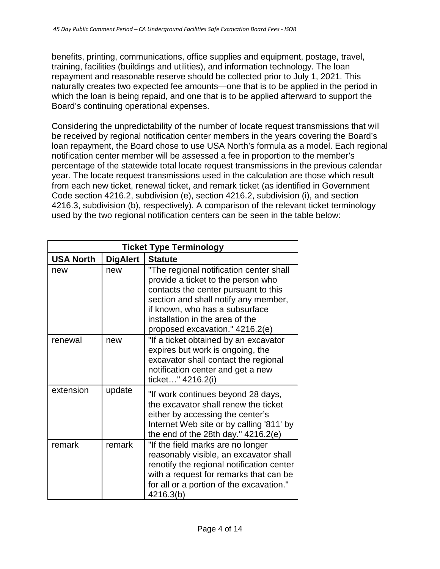benefits, printing, communications, office supplies and equipment, postage, travel, training, facilities (buildings and utilities), and information technology. The loan repayment and reasonable reserve should be collected prior to July 1, 2021. This naturally creates two expected fee amounts—one that is to be applied in the period in which the loan is being repaid, and one that is to be applied afterward to support the Board's continuing operational expenses.

Considering the unpredictability of the number of locate request transmissions that will be received by regional notification center members in the years covering the Board's loan repayment, the Board chose to use USA North's formula as a model. Each regional notification center member will be assessed a fee in proportion to the member's percentage of the statewide total locate request transmissions in the previous calendar year. The locate request transmissions used in the calculation are those which result from each new ticket, renewal ticket, and remark ticket (as identified in Government Code section 4216.2, subdivision (e), section 4216.2, subdivision (i), and section 4216.3, subdivision (b), respectively). A comparison of the relevant ticket terminology used by the two regional notification centers can be seen in the table below:

| <b>Ticket Type Terminology</b> |                 |                                                                                                                                                                                                                                                                       |
|--------------------------------|-----------------|-----------------------------------------------------------------------------------------------------------------------------------------------------------------------------------------------------------------------------------------------------------------------|
| <b>USA North</b>               | <b>DigAlert</b> | <b>Statute</b>                                                                                                                                                                                                                                                        |
| new                            | new             | "The regional notification center shall<br>provide a ticket to the person who<br>contacts the center pursuant to this<br>section and shall notify any member,<br>if known, who has a subsurface<br>installation in the area of the<br>proposed excavation." 4216.2(e) |
| renewal                        | new             | "If a ticket obtained by an excavator<br>expires but work is ongoing, the<br>excavator shall contact the regional<br>notification center and get a new<br>ticket" 4216.2(i)                                                                                           |
| extension                      | update          | "If work continues beyond 28 days,<br>the excavator shall renew the ticket<br>either by accessing the center's<br>Internet Web site or by calling '811' by<br>the end of the 28th day." $4216.2(e)$                                                                   |
| remark                         | remark          | "If the field marks are no longer<br>reasonably visible, an excavator shall<br>renotify the regional notification center<br>with a request for remarks that can be<br>for all or a portion of the excavation."<br>4216.3(b)                                           |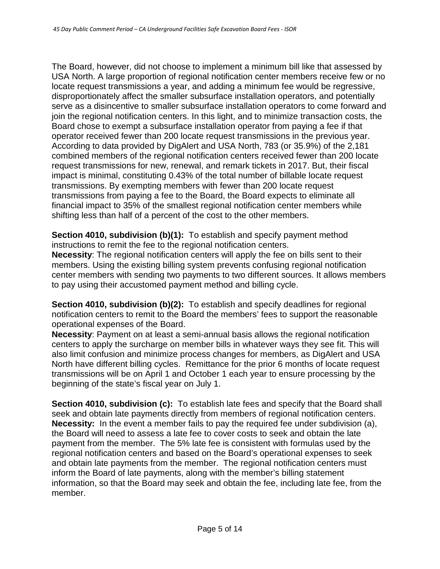The Board, however, did not choose to implement a minimum bill like that assessed by USA North. A large proportion of regional notification center members receive few or no locate request transmissions a year, and adding a minimum fee would be regressive, disproportionately affect the smaller subsurface installation operators, and potentially serve as a disincentive to smaller subsurface installation operators to come forward and join the regional notification centers. In this light, and to minimize transaction costs, the Board chose to exempt a subsurface installation operator from paying a fee if that operator received fewer than 200 locate request transmissions in the previous year. According to data provided by DigAlert and USA North, 783 (or 35.9%) of the 2,181 combined members of the regional notification centers received fewer than 200 locate request transmissions for new, renewal, and remark tickets in 2017. But, their fiscal impact is minimal, constituting 0.43% of the total number of billable locate request transmissions. By exempting members with fewer than 200 locate request transmissions from paying a fee to the Board, the Board expects to eliminate all financial impact to 35% of the smallest regional notification center members while shifting less than half of a percent of the cost to the other members.

**Section 4010, subdivision (b)(1):** To establish and specify payment method instructions to remit the fee to the regional notification centers.

**Necessity**: The regional notification centers will apply the fee on bills sent to their members. Using the existing billing system prevents confusing regional notification center members with sending two payments to two different sources. It allows members to pay using their accustomed payment method and billing cycle.

**Section 4010, subdivision (b)(2):** To establish and specify deadlines for regional notification centers to remit to the Board the members' fees to support the reasonable operational expenses of the Board.

**Necessity**: Payment on at least a semi-annual basis allows the regional notification centers to apply the surcharge on member bills in whatever ways they see fit. This will also limit confusion and minimize process changes for members, as DigAlert and USA North have different billing cycles. Remittance for the prior 6 months of locate request transmissions will be on April 1 and October 1 each year to ensure processing by the beginning of the state's fiscal year on July 1.

**Section 4010, subdivision (c):** To establish late fees and specify that the Board shall seek and obtain late payments directly from members of regional notification centers. **Necessity:** In the event a member fails to pay the required fee under subdivision (a), the Board will need to assess a late fee to cover costs to seek and obtain the late payment from the member. The 5% late fee is consistent with formulas used by the regional notification centers and based on the Board's operational expenses to seek and obtain late payments from the member. The regional notification centers must inform the Board of late payments, along with the member's billing statement information, so that the Board may seek and obtain the fee, including late fee, from the member.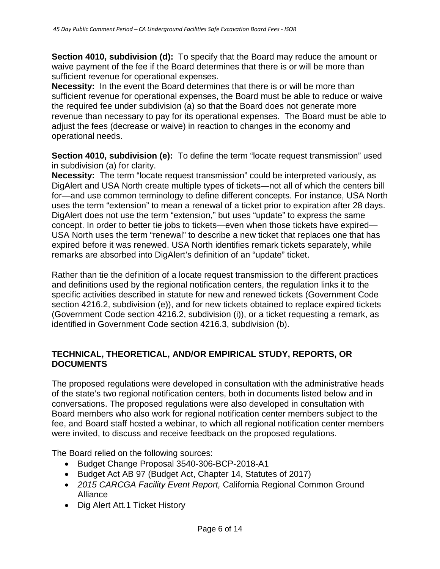**Section 4010, subdivision (d):** To specify that the Board may reduce the amount or waive payment of the fee if the Board determines that there is or will be more than sufficient revenue for operational expenses.

**Necessity:** In the event the Board determines that there is or will be more than sufficient revenue for operational expenses, the Board must be able to reduce or waive the required fee under subdivision (a) so that the Board does not generate more revenue than necessary to pay for its operational expenses. The Board must be able to adjust the fees (decrease or waive) in reaction to changes in the economy and operational needs.

**Section 4010, subdivision (e):** To define the term "locate request transmission" used in subdivision (a) for clarity.

**Necessity:** The term "locate request transmission" could be interpreted variously, as DigAlert and USA North create multiple types of tickets—not all of which the centers bill for—and use common terminology to define different concepts. For instance, USA North uses the term "extension" to mean a renewal of a ticket prior to expiration after 28 days. DigAlert does not use the term "extension," but uses "update" to express the same concept. In order to better tie jobs to tickets—even when those tickets have expired— USA North uses the term "renewal" to describe a new ticket that replaces one that has expired before it was renewed. USA North identifies remark tickets separately, while remarks are absorbed into DigAlert's definition of an "update" ticket.

Rather than tie the definition of a locate request transmission to the different practices and definitions used by the regional notification centers, the regulation links it to the specific activities described in statute for new and renewed tickets (Government Code section 4216.2, subdivision (e)), and for new tickets obtained to replace expired tickets (Government Code section 4216.2, subdivision (i)), or a ticket requesting a remark, as identified in Government Code section 4216.3, subdivision (b).

### **TECHNICAL, THEORETICAL, AND/OR EMPIRICAL STUDY, REPORTS, OR DOCUMENTS**

The proposed regulations were developed in consultation with the administrative heads of the state's two regional notification centers, both in documents listed below and in conversations. The proposed regulations were also developed in consultation with Board members who also work for regional notification center members subject to the fee, and Board staff hosted a webinar, to which all regional notification center members were invited, to discuss and receive feedback on the proposed regulations.

The Board relied on the following sources:

- Budget Change Proposal 3540-306-BCP-2018-A1
- Budget Act AB 97 (Budget Act, Chapter 14, Statutes of 2017)
- *2015 CARCGA Facility Event Report,* California Regional Common Ground Alliance
- Dig Alert Att.1 Ticket History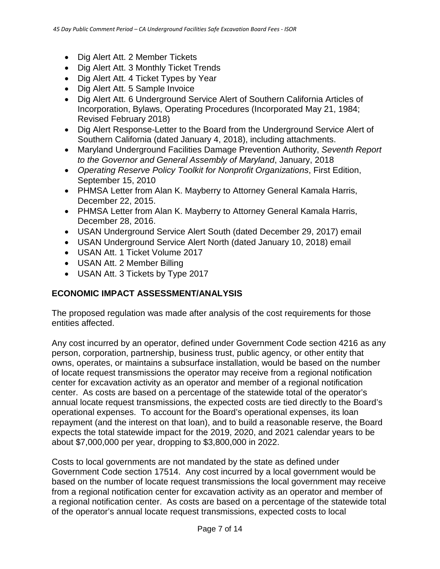- Dig Alert Att. 2 Member Tickets
- Dig Alert Att. 3 Monthly Ticket Trends
- Dig Alert Att. 4 Ticket Types by Year
- Dig Alert Att. 5 Sample Invoice
- Dig Alert Att. 6 Underground Service Alert of Southern California Articles of Incorporation, Bylaws, Operating Procedures (Incorporated May 21, 1984; Revised February 2018)
- Dig Alert Response-Letter to the Board from the Underground Service Alert of Southern California (dated January 4, 2018), including attachments.
- Maryland Underground Facilities Damage Prevention Authority, *Seventh Report to the Governor and General Assembly of Maryland*, January, 2018
- *Operating Reserve Policy Toolkit for Nonprofit Organizations*, First Edition, September 15, 2010
- PHMSA Letter from Alan K. Mayberry to Attorney General Kamala Harris, December 22, 2015.
- PHMSA Letter from Alan K. Mayberry to Attorney General Kamala Harris, December 28, 2016.
- USAN Underground Service Alert South (dated December 29, 2017) email
- USAN Underground Service Alert North (dated January 10, 2018) email
- USAN Att. 1 Ticket Volume 2017
- USAN Att. 2 Member Billing
- USAN Att. 3 Tickets by Type 2017

# **ECONOMIC IMPACT ASSESSMENT/ANALYSIS**

The proposed regulation was made after analysis of the cost requirements for those entities affected.

Any cost incurred by an operator, defined under Government Code section 4216 as any person, corporation, partnership, business trust, public agency, or other entity that owns, operates, or maintains a subsurface installation, would be based on the number of locate request transmissions the operator may receive from a regional notification center for excavation activity as an operator and member of a regional notification center. As costs are based on a percentage of the statewide total of the operator's annual locate request transmissions, the expected costs are tied directly to the Board's operational expenses. To account for the Board's operational expenses, its loan repayment (and the interest on that loan), and to build a reasonable reserve, the Board expects the total statewide impact for the 2019, 2020, and 2021 calendar years to be about \$7,000,000 per year, dropping to \$3,800,000 in 2022.

Costs to local governments are not mandated by the state as defined under Government Code section 17514. Any cost incurred by a local government would be based on the number of locate request transmissions the local government may receive from a regional notification center for excavation activity as an operator and member of a regional notification center. As costs are based on a percentage of the statewide total of the operator's annual locate request transmissions, expected costs to local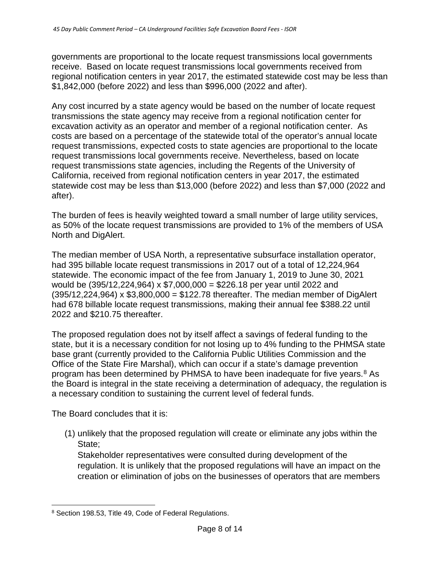governments are proportional to the locate request transmissions local governments receive. Based on locate request transmissions local governments received from regional notification centers in year 2017, the estimated statewide cost may be less than \$1,842,000 (before 2022) and less than \$996,000 (2022 and after).

Any cost incurred by a state agency would be based on the number of locate request transmissions the state agency may receive from a regional notification center for excavation activity as an operator and member of a regional notification center. As costs are based on a percentage of the statewide total of the operator's annual locate request transmissions, expected costs to state agencies are proportional to the locate request transmissions local governments receive. Nevertheless, based on locate request transmissions state agencies, including the Regents of the University of California, received from regional notification centers in year 2017, the estimated statewide cost may be less than \$13,000 (before 2022) and less than \$7,000 (2022 and after).

The burden of fees is heavily weighted toward a small number of large utility services, as 50% of the locate request transmissions are provided to 1% of the members of USA North and DigAlert.

The median member of USA North, a representative subsurface installation operator, had 395 billable locate request transmissions in 2017 out of a total of 12,224,964 statewide. The economic impact of the fee from January 1, 2019 to June 30, 2021 would be (395/12,224,964) x \$7,000,000 = \$226.18 per year until 2022 and  $(395/12,224,964)$  x \$3,800,000 = \$122.78 thereafter. The median member of DigAlert had 678 billable locate request transmissions, making their annual fee \$388.22 until 2022 and \$210.75 thereafter.

The proposed regulation does not by itself affect a savings of federal funding to the state, but it is a necessary condition for not losing up to 4% funding to the PHMSA state base grant (currently provided to the California Public Utilities Commission and the Office of the State Fire Marshal), which can occur if a state's damage prevention program has been determined by PHMSA to have been inadequate for five years.<sup>[8](#page-7-0)</sup> As the Board is integral in the state receiving a determination of adequacy, the regulation is a necessary condition to sustaining the current level of federal funds.

The Board concludes that it is:

(1) unlikely that the proposed regulation will create or eliminate any jobs within the State;

Stakeholder representatives were consulted during development of the regulation. It is unlikely that the proposed regulations will have an impact on the creation or elimination of jobs on the businesses of operators that are members

<span id="page-7-0"></span> <sup>8</sup> Section 198.53, Title 49, Code of Federal Regulations.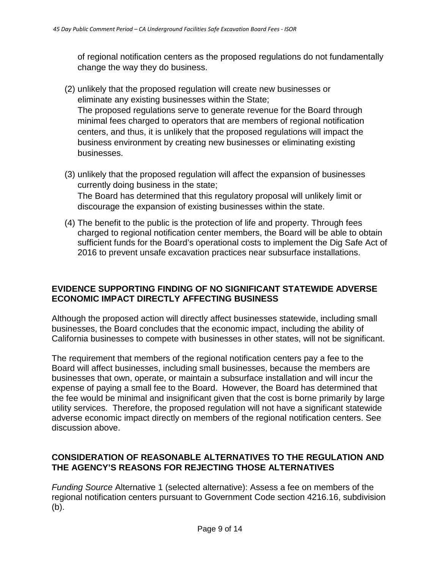of regional notification centers as the proposed regulations do not fundamentally change the way they do business.

- (2) unlikely that the proposed regulation will create new businesses or eliminate any existing businesses within the State; The proposed regulations serve to generate revenue for the Board through minimal fees charged to operators that are members of regional notification centers, and thus, it is unlikely that the proposed regulations will impact the business environment by creating new businesses or eliminating existing businesses.
- (3) unlikely that the proposed regulation will affect the expansion of businesses currently doing business in the state; The Board has determined that this regulatory proposal will unlikely limit or discourage the expansion of existing businesses within the state.
- (4) The benefit to the public is the protection of life and property. Through fees charged to regional notification center members, the Board will be able to obtain sufficient funds for the Board's operational costs to implement the Dig Safe Act of 2016 to prevent unsafe excavation practices near subsurface installations.

### **EVIDENCE SUPPORTING FINDING OF NO SIGNIFICANT STATEWIDE ADVERSE ECONOMIC IMPACT DIRECTLY AFFECTING BUSINESS**

Although the proposed action will directly affect businesses statewide, including small businesses, the Board concludes that the economic impact, including the ability of California businesses to compete with businesses in other states, will not be significant.

The requirement that members of the regional notification centers pay a fee to the Board will affect businesses, including small businesses, because the members are businesses that own, operate, or maintain a subsurface installation and will incur the expense of paying a small fee to the Board. However, the Board has determined that the fee would be minimal and insignificant given that the cost is borne primarily by large utility services. Therefore, the proposed regulation will not have a significant statewide adverse economic impact directly on members of the regional notification centers. See discussion above.

## **CONSIDERATION OF REASONABLE ALTERNATIVES TO THE REGULATION AND THE AGENCY'S REASONS FOR REJECTING THOSE ALTERNATIVES**

*Funding Source* Alternative 1 (selected alternative): Assess a fee on members of the regional notification centers pursuant to Government Code section 4216.16, subdivision (b).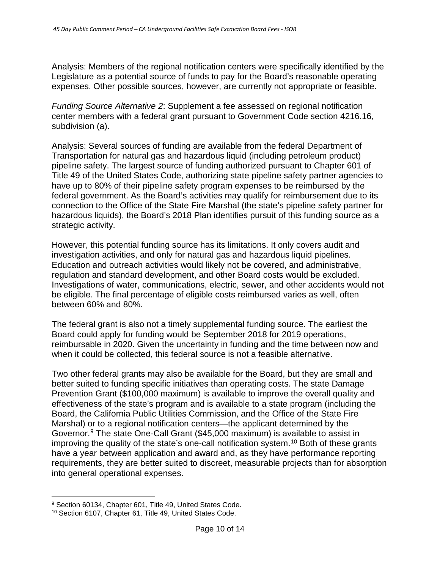Analysis: Members of the regional notification centers were specifically identified by the Legislature as a potential source of funds to pay for the Board's reasonable operating expenses. Other possible sources, however, are currently not appropriate or feasible.

*Funding Source Alternative 2*: Supplement a fee assessed on regional notification center members with a federal grant pursuant to Government Code section 4216.16, subdivision (a).

Analysis: Several sources of funding are available from the federal Department of Transportation for natural gas and hazardous liquid (including petroleum product) pipeline safety. The largest source of funding authorized pursuant to Chapter 601 of Title 49 of the United States Code, authorizing state pipeline safety partner agencies to have up to 80% of their pipeline safety program expenses to be reimbursed by the federal government. As the Board's activities may qualify for reimbursement due to its connection to the Office of the State Fire Marshal (the state's pipeline safety partner for hazardous liquids), the Board's 2018 Plan identifies pursuit of this funding source as a strategic activity.

However, this potential funding source has its limitations. It only covers audit and investigation activities, and only for natural gas and hazardous liquid pipelines. Education and outreach activities would likely not be covered, and administrative, regulation and standard development, and other Board costs would be excluded. Investigations of water, communications, electric, sewer, and other accidents would not be eligible. The final percentage of eligible costs reimbursed varies as well, often between 60% and 80%.

The federal grant is also not a timely supplemental funding source. The earliest the Board could apply for funding would be September 2018 for 2019 operations, reimbursable in 2020. Given the uncertainty in funding and the time between now and when it could be collected, this federal source is not a feasible alternative.

Two other federal grants may also be available for the Board, but they are small and better suited to funding specific initiatives than operating costs. The state Damage Prevention Grant (\$100,000 maximum) is available to improve the overall quality and effectiveness of the state's program and is available to a state program (including the Board, the California Public Utilities Commission, and the Office of the State Fire Marshal) or to a regional notification centers—the applicant determined by the Governor.[9](#page-9-0) The state One-Call Grant (\$45,000 maximum) is available to assist in improving the quality of the state's one-call notification system.<sup>[10](#page-9-1)</sup> Both of these grants have a year between application and award and, as they have performance reporting requirements, they are better suited to discreet, measurable projects than for absorption into general operational expenses.

<span id="page-9-0"></span><sup>9</sup> Section 60134, Chapter 601, Title 49, United States Code.

<span id="page-9-1"></span><sup>10</sup> Section 6107, Chapter 61, Title 49, United States Code.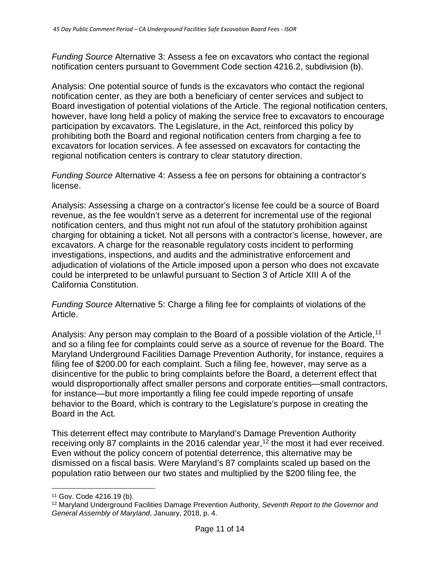*Funding Source* Alternative 3: Assess a fee on excavators who contact the regional notification centers pursuant to Government Code section 4216.2, subdivision (b).

Analysis: One potential source of funds is the excavators who contact the regional notification center, as they are both a beneficiary of center services and subject to Board investigation of potential violations of the Article. The regional notification centers, however, have long held a policy of making the service free to excavators to encourage participation by excavators. The Legislature, in the Act, reinforced this policy by prohibiting both the Board and regional notification centers from charging a fee to excavators for location services. A fee assessed on excavators for contacting the regional notification centers is contrary to clear statutory direction.

*Funding Source* Alternative 4: Assess a fee on persons for obtaining a contractor's license.

Analysis: Assessing a charge on a contractor's license fee could be a source of Board revenue, as the fee wouldn't serve as a deterrent for incremental use of the regional notification centers, and thus might not run afoul of the statutory prohibition against charging for obtaining a ticket. Not all persons with a contractor's license, however, are excavators. A charge for the reasonable regulatory costs incident to performing investigations, inspections, and audits and the administrative enforcement and adjudication of violations of the Article imposed upon a person who does not excavate could be interpreted to be unlawful pursuant to Section 3 of Article XIII A of the California Constitution.

*Funding Source* Alternative 5: Charge a filing fee for complaints of violations of the Article.

Analysis: Any person may complain to the Board of a possible violation of the Article,<sup>[11](#page-10-0)</sup> and so a filing fee for complaints could serve as a source of revenue for the Board. The Maryland Underground Facilities Damage Prevention Authority, for instance, requires a filing fee of \$200.00 for each complaint. Such a filing fee, however, may serve as a disincentive for the public to bring complaints before the Board, a deterrent effect that would disproportionally affect smaller persons and corporate entities—small contractors, for instance—but more importantly a filing fee could impede reporting of unsafe behavior to the Board, which is contrary to the Legislature's purpose in creating the Board in the Act.

This deterrent effect may contribute to Maryland's Damage Prevention Authority receiving only 87 complaints in the 2016 calendar year,  $12$  the most it had ever received. Even without the policy concern of potential deterrence, this alternative may be dismissed on a fiscal basis. Were Maryland's 87 complaints scaled up based on the population ratio between our two states and multiplied by the \$200 filing fee, the

<span id="page-10-0"></span> <sup>11</sup> Gov. Code 4216.19 (b).

<span id="page-10-1"></span><sup>12</sup> Maryland Underground Facilities Damage Prevention Authority, *Seventh Report to the Governor and General Assembly of Maryland*, January, 2018, p. 4.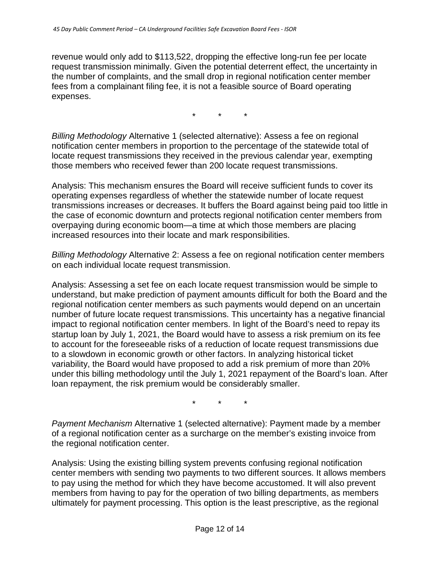revenue would only add to \$113,522, dropping the effective long-run fee per locate request transmission minimally. Given the potential deterrent effect, the uncertainty in the number of complaints, and the small drop in regional notification center member fees from a complainant filing fee, it is not a feasible source of Board operating expenses.

\* \* \*

*Billing Methodology* Alternative 1 (selected alternative): Assess a fee on regional notification center members in proportion to the percentage of the statewide total of locate request transmissions they received in the previous calendar year, exempting those members who received fewer than 200 locate request transmissions.

Analysis: This mechanism ensures the Board will receive sufficient funds to cover its operating expenses regardless of whether the statewide number of locate request transmissions increases or decreases. It buffers the Board against being paid too little in the case of economic downturn and protects regional notification center members from overpaying during economic boom—a time at which those members are placing increased resources into their locate and mark responsibilities.

*Billing Methodology* Alternative 2: Assess a fee on regional notification center members on each individual locate request transmission.

Analysis: Assessing a set fee on each locate request transmission would be simple to understand, but make prediction of payment amounts difficult for both the Board and the regional notification center members as such payments would depend on an uncertain number of future locate request transmissions. This uncertainty has a negative financial impact to regional notification center members. In light of the Board's need to repay its startup loan by July 1, 2021, the Board would have to assess a risk premium on its fee to account for the foreseeable risks of a reduction of locate request transmissions due to a slowdown in economic growth or other factors. In analyzing historical ticket variability, the Board would have proposed to add a risk premium of more than 20% under this billing methodology until the July 1, 2021 repayment of the Board's loan. After loan repayment, the risk premium would be considerably smaller.

\* \* \*

*Payment Mechanism* Alternative 1 (selected alternative): Payment made by a member of a regional notification center as a surcharge on the member's existing invoice from the regional notification center.

Analysis: Using the existing billing system prevents confusing regional notification center members with sending two payments to two different sources. It allows members to pay using the method for which they have become accustomed. It will also prevent members from having to pay for the operation of two billing departments, as members ultimately for payment processing. This option is the least prescriptive, as the regional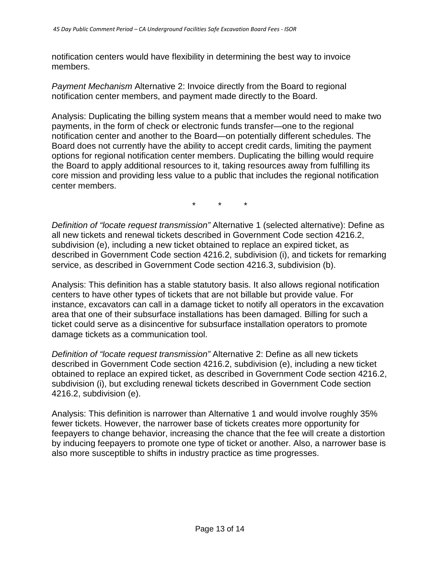notification centers would have flexibility in determining the best way to invoice members.

*Payment Mechanism* Alternative 2: Invoice directly from the Board to regional notification center members, and payment made directly to the Board.

Analysis: Duplicating the billing system means that a member would need to make two payments, in the form of check or electronic funds transfer—one to the regional notification center and another to the Board—on potentially different schedules. The Board does not currently have the ability to accept credit cards, limiting the payment options for regional notification center members. Duplicating the billing would require the Board to apply additional resources to it, taking resources away from fulfilling its core mission and providing less value to a public that includes the regional notification center members.

 $\star$   $\star$ 

*Definition of "locate request transmission"* Alternative 1 (selected alternative): Define as all new tickets and renewal tickets described in Government Code section 4216.2, subdivision (e), including a new ticket obtained to replace an expired ticket, as described in Government Code section 4216.2, subdivision (i), and tickets for remarking service, as described in Government Code section 4216.3, subdivision (b).

Analysis: This definition has a stable statutory basis. It also allows regional notification centers to have other types of tickets that are not billable but provide value. For instance, excavators can call in a damage ticket to notify all operators in the excavation area that one of their subsurface installations has been damaged. Billing for such a ticket could serve as a disincentive for subsurface installation operators to promote damage tickets as a communication tool.

*Definition of "locate request transmission"* Alternative 2: Define as all new tickets described in Government Code section 4216.2, subdivision (e), including a new ticket obtained to replace an expired ticket, as described in Government Code section 4216.2, subdivision (i), but excluding renewal tickets described in Government Code section 4216.2, subdivision (e).

Analysis: This definition is narrower than Alternative 1 and would involve roughly 35% fewer tickets. However, the narrower base of tickets creates more opportunity for feepayers to change behavior, increasing the chance that the fee will create a distortion by inducing feepayers to promote one type of ticket or another. Also, a narrower base is also more susceptible to shifts in industry practice as time progresses.